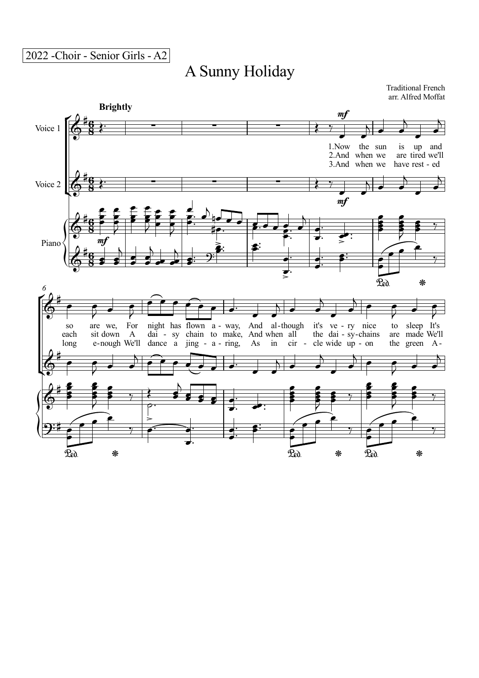## A Sunny Holiday

Traditional French arr. Alfred Moffat

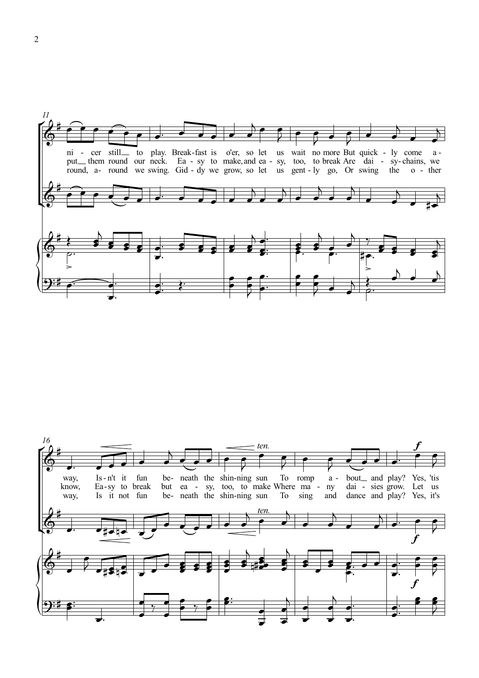